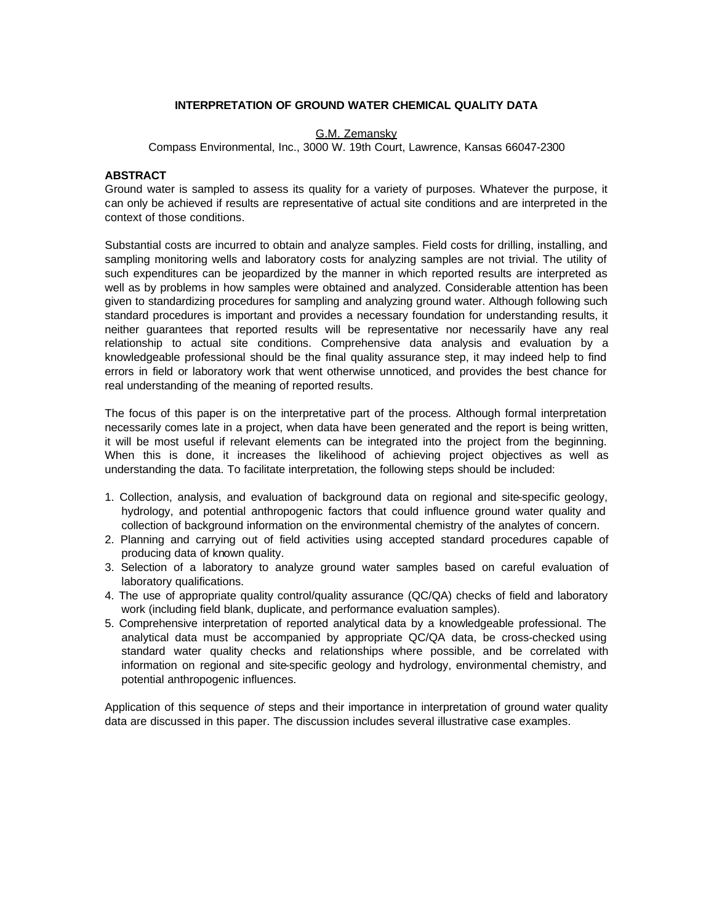# **INTERPRETATION OF GROUND WATER CHEMICAL QUALITY DATA**

# G.M. Zemansky

Compass Environmental, Inc., 3000 W. 19th Court, Lawrence, Kansas 66047-2300

### **ABSTRACT**

Ground water is sampled to assess its quality for a variety of purposes. Whatever the purpose, it can only be achieved if results are representative of actual site conditions and are interpreted in the context of those conditions.

Substantial costs are incurred to obtain and analyze samples. Field costs for drilling, installing, and sampling monitoring wells and laboratory costs for analyzing samples are not trivial. The utility of such expenditures can be jeopardized by the manner in which reported results are interpreted as well as by problems in how samples were obtained and analyzed. Considerable attention has been given to standardizing procedures for sampling and analyzing ground water. Although following such standard procedures is important and provides a necessary foundation for understanding results, it neither guarantees that reported results will be representative nor necessarily have any real relationship to actual site conditions. Comprehensive data analysis and evaluation by a knowledgeable professional should be the final quality assurance step, it may indeed help to find errors in field or laboratory work that went otherwise unnoticed, and provides the best chance for real understanding of the meaning of reported results.

The focus of this paper is on the interpretative part of the process. Although formal interpretation necessarily comes late in a project, when data have been generated and the report is being written, it will be most useful if relevant elements can be integrated into the project from the beginning. When this is done, it increases the likelihood of achieving project objectives as well as understanding the data. To facilitate interpretation, the following steps should be included:

- 1. Collection, analysis, and evaluation of background data on regional and site-specific geology, hydrology, and potential anthropogenic factors that could influence ground water quality and collection of background information on the environmental chemistry of the analytes of concern.
- 2. Planning and carrying out of field activities using accepted standard procedures capable of producing data of known quality.
- 3. Selection of a laboratory to analyze ground water samples based on careful evaluation of laboratory qualifications.
- 4. The use of appropriate quality control/quality assurance (QC/QA) checks of field and laboratory work (including field blank, duplicate, and performance evaluation samples).
- 5. Comprehensive interpretation of reported analytical data by a knowledgeable professional. The analytical data must be accompanied by appropriate QC/QA data, be cross-checked using standard water quality checks and relationships where possible, and be correlated with information on regional and site-specific geology and hydrology, environmental chemistry, and potential anthropogenic influences.

Application of this sequence *of* steps and their importance in interpretation of ground water quality data are discussed in this paper. The discussion includes several illustrative case examples.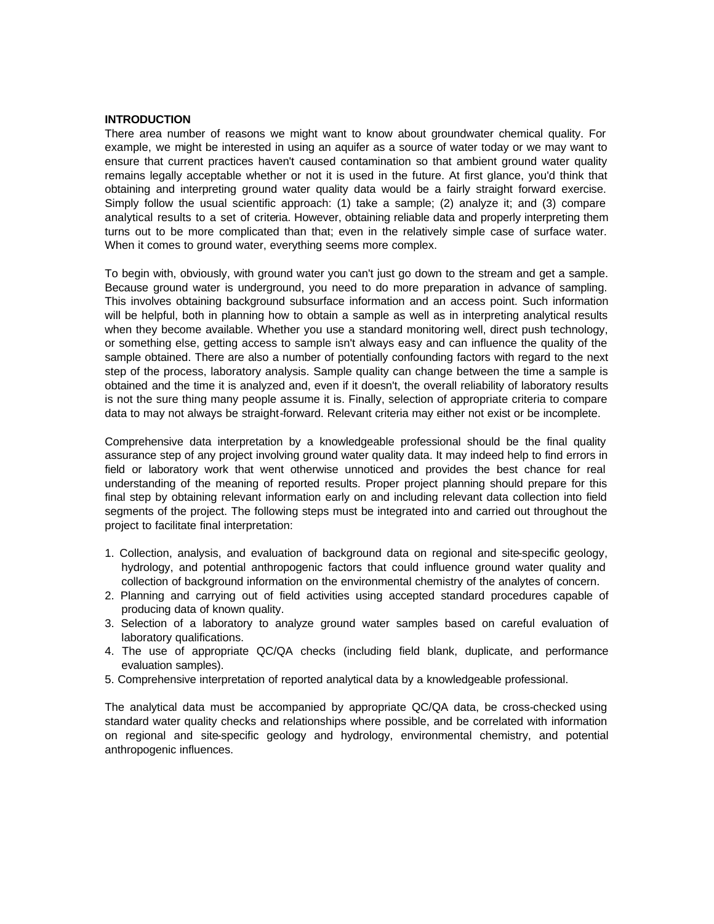# **INTRODUCTION**

There area number of reasons we might want to know about groundwater chemical quality. For example, we might be interested in using an aquifer as a source of water today or we may want to ensure that current practices haven't caused contamination so that ambient ground water quality remains legally acceptable whether or not it is used in the future. At first glance, you'd think that obtaining and interpreting ground water quality data would be a fairly straight forward exercise. Simply follow the usual scientific approach: (1) take a sample; (2) analyze it; and (3) compare analytical results to a set of criteria. However, obtaining reliable data and properly interpreting them turns out to be more complicated than that; even in the relatively simple case of surface water. When it comes to ground water, everything seems more complex.

To begin with, obviously, with ground water you can't just go down to the stream and get a sample. Because ground water is underground, you need to do more preparation in advance of sampling. This involves obtaining background subsurface information and an access point. Such information will be helpful, both in planning how to obtain a sample as well as in interpreting analytical results when they become available. Whether you use a standard monitoring well, direct push technology, or something else, getting access to sample isn't always easy and can influence the quality of the sample obtained. There are also a number of potentially confounding factors with regard to the next step of the process, laboratory analysis. Sample quality can change between the time a sample is obtained and the time it is analyzed and, even if it doesn't, the overall reliability of laboratory results is not the sure thing many people assume it is. Finally, selection of appropriate criteria to compare data to may not always be straight-forward. Relevant criteria may either not exist or be incomplete.

Comprehensive data interpretation by a knowledgeable professional should be the final quality assurance step of any project involving ground water quality data. It may indeed help to find errors in field or laboratory work that went otherwise unnoticed and provides the best chance for real understanding of the meaning of reported results. Proper project planning should prepare for this final step by obtaining relevant information early on and including relevant data collection into field segments of the project. The following steps must be integrated into and carried out throughout the project to facilitate final interpretation:

- 1. Collection, analysis, and evaluation of background data on regional and site-specific geology, hydrology, and potential anthropogenic factors that could influence ground water quality and collection of background information on the environmental chemistry of the analytes of concern.
- 2. Planning and carrying out of field activities using accepted standard procedures capable of producing data of known quality.
- 3. Selection of a laboratory to analyze ground water samples based on careful evaluation of laboratory qualifications.
- 4. The use of appropriate QC/QA checks (including field blank, duplicate, and performance evaluation samples).
- 5. Comprehensive interpretation of reported analytical data by a knowledgeable professional.

The analytical data must be accompanied by appropriate QC/QA data, be cross-checked using standard water quality checks and relationships where possible, and be correlated with information on regional and site-specific geology and hydrology, environmental chemistry, and potential anthropogenic influences.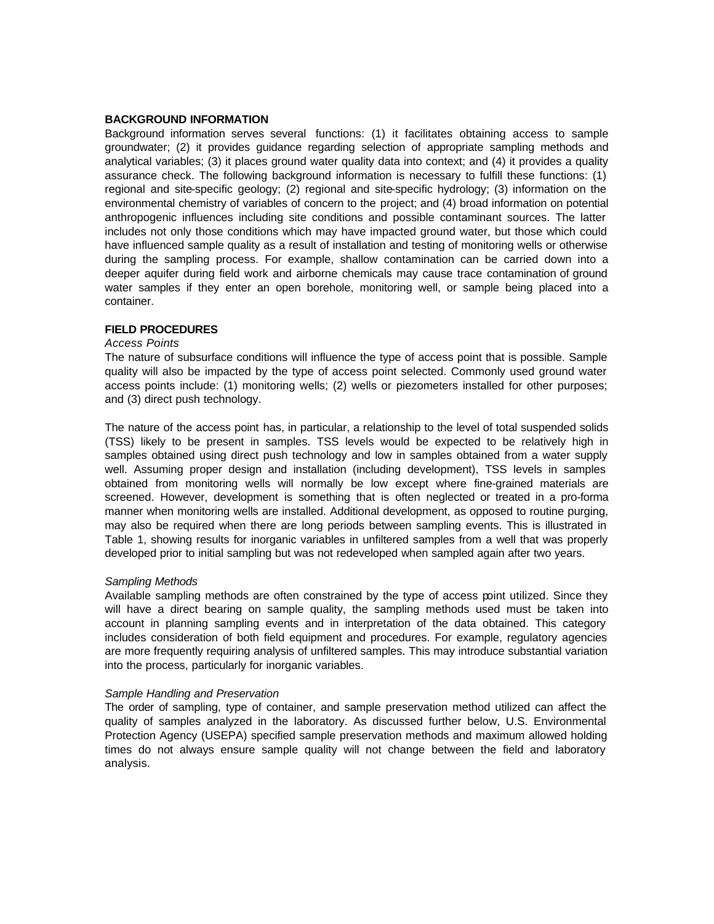### **BACKGROUND INFORMATION**

Background information serves several functions: (1) it facilitates obtaining access to sample groundwater; (2) it provides guidance regarding selection of appropriate sampling methods and analytical variables; (3) it places ground water quality data into context; and (4) it provides a quality assurance check. The following background information is necessary to fulfill these functions: (1) regional and site-specific geology; (2) regional and site-specific hydrology; (3) information on the environmental chemistry of variables of concern to the project; and (4) broad information on potential anthropogenic influences including site conditions and possible contaminant sources. The latter includes not only those conditions which may have impacted ground water, but those which could have influenced sample quality as a result of installation and testing of monitoring wells or otherwise during the sampling process. For example, shallow contamination can be carried down into a deeper aquifer during field work and airborne chemicals may cause trace contamination of ground water samples if they enter an open borehole, monitoring well, or sample being placed into a container.

### **FIELD PROCEDURES**

### *Access Points*

The nature of subsurface conditions will influence the type of access point that is possible. Sample quality will also be impacted by the type of access point selected. Commonly used ground water access points include: (1) monitoring wells; (2) wells or piezometers installed for other purposes; and (3) direct push technology.

The nature of the access point has, in particular, a relationship to the level of total suspended solids (TSS) likely to be present in samples. TSS levels would be expected to be relatively high in samples obtained using direct push technology and low in samples obtained from a water supply well. Assuming proper design and installation (including development), TSS levels in samples obtained from monitoring wells will normally be low except where fine-grained materials are screened. However, development is something that is often neglected or treated in a pro-forma manner when monitoring wells are installed. Additional development, as opposed to routine purging, may also be required when there are long periods between sampling events. This is illustrated in Table 1, showing results for inorganic variables in unfiltered samples from a well that was properly developed prior to initial sampling but was not redeveloped when sampled again after two years.

# *Sampling Methods*

Available sampling methods are often constrained by the type of access point utilized. Since they will have a direct bearing on sample quality, the sampling methods used must be taken into account in planning sampling events and in interpretation of the data obtained. This category includes consideration of both field equipment and procedures. For example, regulatory agencies are more frequently requiring analysis of unfiltered samples. This may introduce substantial variation into the process, particularly for inorganic variables.

### *Sample Handling and Preservation*

The order of sampling, type of container, and sample preservation method utilized can affect the quality of samples analyzed in the laboratory. As discussed further below, U.S. Environmental Protection Agency (USEPA) specified sample preservation methods and maximum allowed holding times do not always ensure sample quality will not change between the field and laboratory analysis.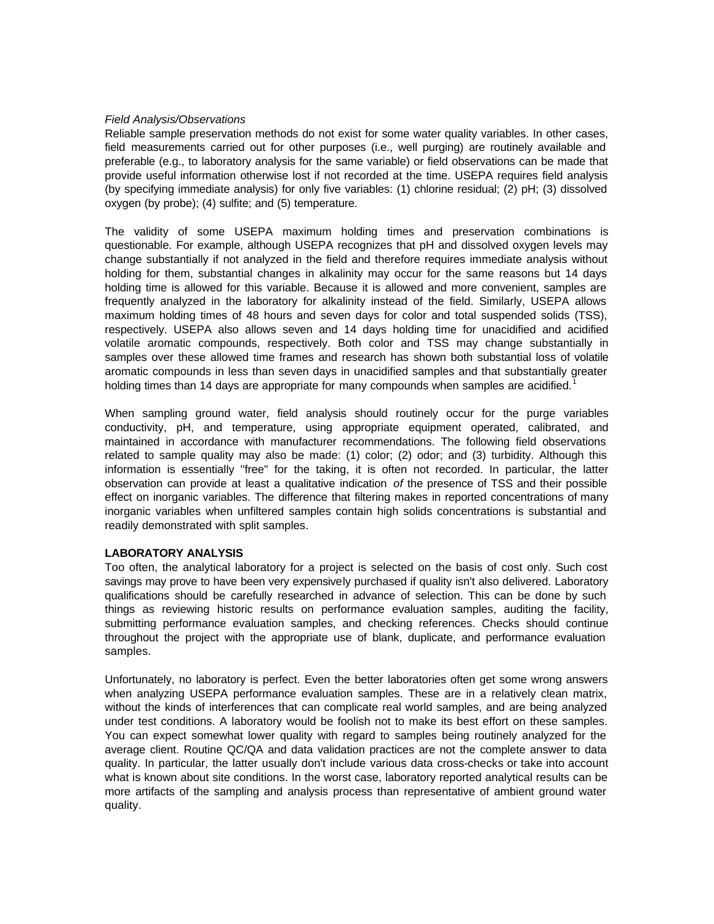# *Field Analysis/Observations*

Reliable sample preservation methods do not exist for some water quality variables. In other cases, field measurements carried out for other purposes (i.e., well purging) are routinely available and preferable (e.g., to laboratory analysis for the same variable) or field observations can be made that provide useful information otherwise lost if not recorded at the time. USEPA requires field analysis (by specifying immediate analysis) for only five variables: (1) chlorine residual; (2) pH; (3) dissolved oxygen (by probe); (4) sulfite; and (5) temperature.

The validity of some USEPA maximum holding times and preservation combinations is questionable. For example, although USEPA recognizes that pH and dissolved oxygen levels may change substantially if not analyzed in the field and therefore requires immediate analysis without holding for them, substantial changes in alkalinity may occur for the same reasons but 14 days holding time is allowed for this variable. Because it is allowed and more convenient, samples are frequently analyzed in the laboratory for alkalinity instead of the field. Similarly, USEPA allows maximum holding times of 48 hours and seven days for color and total suspended solids (TSS), respectively. USEPA also allows seven and 14 days holding time for unacidified and acidified volatile aromatic compounds, respectively. Both color and TSS may change substantially in samples over these allowed time frames and research has shown both substantial loss of volatile aromatic compounds in less than seven days in unacidified samples and that substantially greater holding times than 14 days are appropriate for many compounds when samples are acidified.<sup>1</sup>

When sampling ground water, field analysis should routinely occur for the purge variables conductivity, pH, and temperature, using appropriate equipment operated, calibrated, and maintained in accordance with manufacturer recommendations. The following field observations related to sample quality may also be made: (1) color; (2) odor; and (3) turbidity. Although this information is essentially "free" for the taking, it is often not recorded. In particular, the latter observation can provide at least a qualitative indication *of* the presence of TSS and their possible effect on inorganic variables. The difference that filtering makes in reported concentrations of many inorganic variables when unfiltered samples contain high solids concentrations is substantial and readily demonstrated with split samples.

### **LABORATORY ANALYSIS**

Too often, the analytical laboratory for a project is selected on the basis of cost only. Such cost savings may prove to have been very expensively purchased if quality isn't also delivered. Laboratory qualifications should be carefully researched in advance of selection. This can be done by such things as reviewing historic results on performance evaluation samples, auditing the facility, submitting performance evaluation samples, and checking references. Checks should continue throughout the project with the appropriate use of blank, duplicate, and performance evaluation samples.

Unfortunately, no laboratory is perfect. Even the better laboratories often get some wrong answers when analyzing USEPA performance evaluation samples. These are in a relatively clean matrix, without the kinds of interferences that can complicate real world samples, and are being analyzed under test conditions. A laboratory would be foolish not to make its best effort on these samples. You can expect somewhat lower quality with regard to samples being routinely analyzed for the average client. Routine QC/QA and data validation practices are not the complete answer to data quality. In particular, the latter usually don't include various data cross-checks or take into account what is known about site conditions. In the worst case, laboratory reported analytical results can be more artifacts of the sampling and analysis process than representative of ambient ground water quality.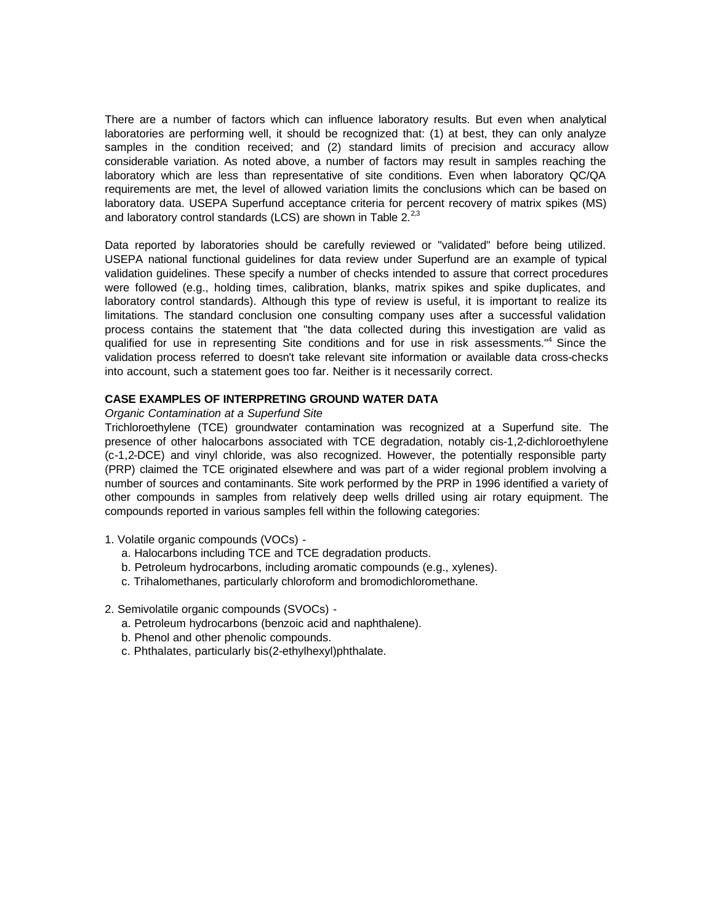There are a number of factors which can influence laboratory results. But even when analytical laboratories are performing well, it should be recognized that: (1) at best, they can only analyze samples in the condition received; and (2) standard limits of precision and accuracy allow considerable variation. As noted above, a number of factors may result in samples reaching the laboratory which are less than representative of site conditions. Even when laboratory QC/QA requirements are met, the level of allowed variation limits the conclusions which can be based on laboratory data. USEPA Superfund acceptance criteria for percent recovery of matrix spikes (MS) and laboratory control standards (LCS) are shown in Table  $2.^{2,3}$ 

Data reported by laboratories should be carefully reviewed or "validated" before being utilized. USEPA national functional guidelines for data review under Superfund are an example of typical validation guidelines. These specify a number of checks intended to assure that correct procedures were followed (e.g., holding times, calibration, blanks, matrix spikes and spike duplicates, and laboratory control standards). Although this type of review is useful, it is important to realize its limitations. The standard conclusion one consulting company uses after a successful validation process contains the statement that "the data collected during this investigation are valid as qualified for use in representing Site conditions and for use in risk assessments."<sup>4</sup> Since the validation process referred to doesn't take relevant site information or available data cross-checks into account, such a statement goes too far. Neither is it necessarily correct.

# **CASE EXAMPLES OF INTERPRETING GROUND WATER DATA**

#### *Organic Contamination at a Superfund Site*

Trichloroethylene (TCE) groundwater contamination was recognized at a Superfund site. The presence of other halocarbons associated with TCE degradation, notably cis-1,2-dichloroethylene (c-1,2-DCE) and vinyl chloride, was also recognized. However, the potentially responsible party (PRP) claimed the TCE originated elsewhere and was part of a wider regional problem involving a number of sources and contaminants. Site work performed by the PRP in 1996 identified a variety of other compounds in samples from relatively deep wells drilled using air rotary equipment. The compounds reported in various samples fell within the following categories:

- 1. Volatile organic compounds (VOCs)
	- a. Halocarbons including TCE and TCE degradation products.
	- b. Petroleum hydrocarbons, including aromatic compounds (e.g., xylenes).
	- c. Trihalomethanes, particularly chloroform and bromodichloromethane.

# 2. Semivolatile organic compounds (SVOCs) -

- a. Petroleum hydrocarbons (benzoic acid and naphthalene).
- b. Phenol and other phenolic compounds.
- c. Phthalates, particularly bis(2-ethylhexyl)phthalate.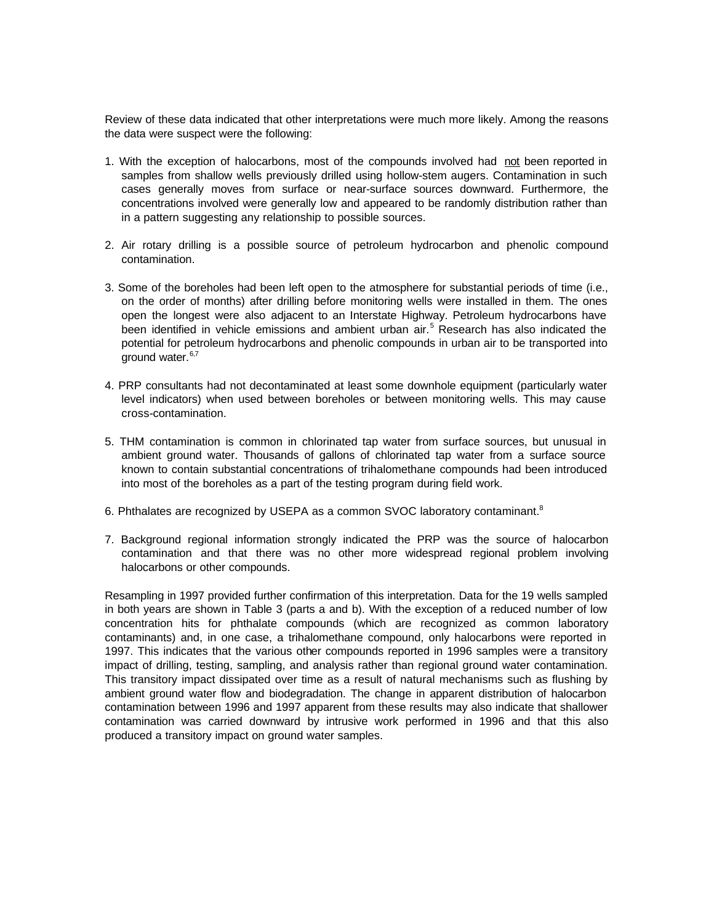Review of these data indicated that other interpretations were much more likely. Among the reasons the data were suspect were the following:

- 1. With the exception of halocarbons, most of the compounds involved had not been reported in samples from shallow wells previously drilled using hollow-stem augers. Contamination in such cases generally moves from surface or near-surface sources downward. Furthermore, the concentrations involved were generally low and appeared to be randomly distribution rather than in a pattern suggesting any relationship to possible sources.
- 2. Air rotary drilling is a possible source of petroleum hydrocarbon and phenolic compound contamination.
- 3. Some of the boreholes had been left open to the atmosphere for substantial periods of time (i.e., on the order of months) after drilling before monitoring wells were installed in them. The ones open the longest were also adjacent to an Interstate Highway. Petroleum hydrocarbons have been identified in vehicle emissions and ambient urban air.<sup>5</sup> Research has also indicated the potential for petroleum hydrocarbons and phenolic compounds in urban air to be transported into ground water.<sup>6,7</sup>
- 4. PRP consultants had not decontaminated at least some downhole equipment (particularly water level indicators) when used between boreholes or between monitoring wells. This may cause cross-contamination.
- 5. THM contamination is common in chlorinated tap water from surface sources, but unusual in ambient ground water. Thousands of gallons of chlorinated tap water from a surface source known to contain substantial concentrations of trihalomethane compounds had been introduced into most of the boreholes as a part of the testing program during field work.
- 6. Phthalates are recognized by USEPA as a common SVOC laboratory contaminant.<sup>8</sup>
- 7. Background regional information strongly indicated the PRP was the source of halocarbon contamination and that there was no other more widespread regional problem involving halocarbons or other compounds.

Resampling in 1997 provided further confirmation of this interpretation. Data for the 19 wells sampled in both years are shown in Table 3 (parts a and b). With the exception of a reduced number of low concentration hits for phthalate compounds (which are recognized as common laboratory contaminants) and, in one case, a trihalomethane compound, only halocarbons were reported in 1997. This indicates that the various other compounds reported in 1996 samples were a transitory impact of drilling, testing, sampling, and analysis rather than regional ground water contamination. This transitory impact dissipated over time as a result of natural mechanisms such as flushing by ambient ground water flow and biodegradation. The change in apparent distribution of halocarbon contamination between 1996 and 1997 apparent from these results may also indicate that shallower contamination was carried downward by intrusive work performed in 1996 and that this also produced a transitory impact on ground water samples.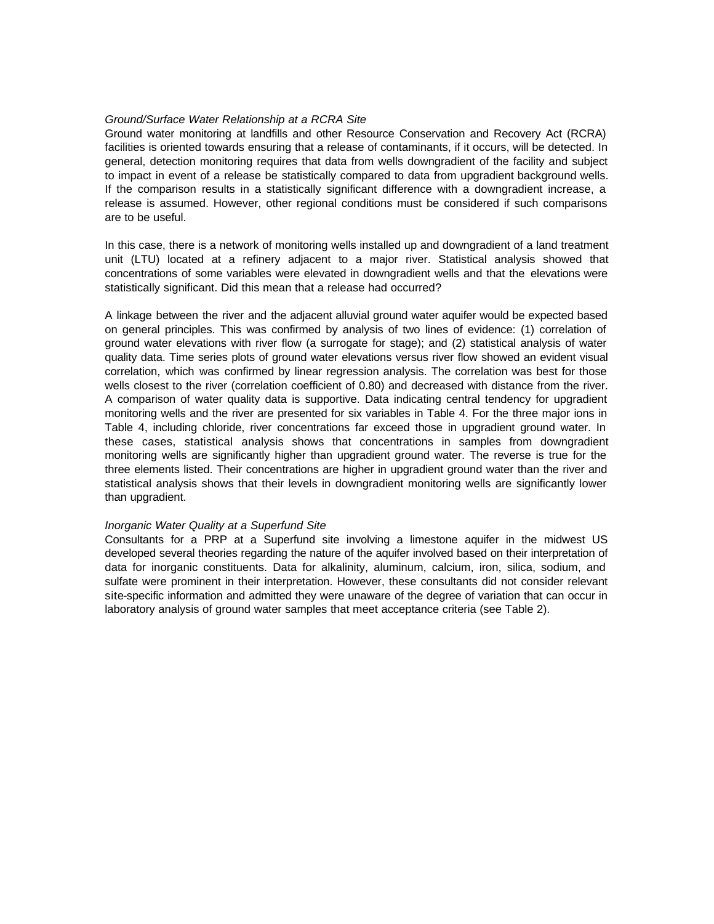### *Ground/Surface Water Relationship at a RCRA Site*

Ground water monitoring at landfills and other Resource Conservation and Recovery Act (RCRA) facilities is oriented towards ensuring that a release of contaminants, if it occurs, will be detected. In general, detection monitoring requires that data from wells downgradient of the facility and subject to impact in event of a release be statistically compared to data from upgradient background wells. If the comparison results in a statistically significant difference with a downgradient increase, a release is assumed. However, other regional conditions must be considered if such comparisons are to be useful.

In this case, there is a network of monitoring wells installed up and downgradient of a land treatment unit (LTU) located at a refinery adjacent to a major river. Statistical analysis showed that concentrations of some variables were elevated in downgradient wells and that the elevations were statistically significant. Did this mean that a release had occurred?

A linkage between the river and the adjacent alluvial ground water aquifer would be expected based on general principles. This was confirmed by analysis of two lines of evidence: (1) correlation of ground water elevations with river flow (a surrogate for stage); and (2) statistical analysis of water quality data. Time series plots of ground water elevations versus river flow showed an evident visual correlation, which was confirmed by linear regression analysis. The correlation was best for those wells closest to the river (correlation coefficient of 0.80) and decreased with distance from the river. A comparison of water quality data is supportive. Data indicating central tendency for upgradient monitoring wells and the river are presented for six variables in Table 4. For the three major ions in Table 4, including chloride, river concentrations far exceed those in upgradient ground water. In these cases, statistical analysis shows that concentrations in samples from downgradient monitoring wells are significantly higher than upgradient ground water. The reverse is true for the three elements listed. Their concentrations are higher in upgradient ground water than the river and statistical analysis shows that their levels in downgradient monitoring wells are significantly lower than upgradient.

### *Inorganic Water Quality at a Superfund Site*

Consultants for a PRP at a Superfund site involving a limestone aquifer in the midwest US developed several theories regarding the nature of the aquifer involved based on their interpretation of data for inorganic constituents. Data for alkalinity, aluminum, calcium, iron, silica, sodium, and sulfate were prominent in their interpretation. However, these consultants did not consider relevant site-specific information and admitted they were unaware of the degree of variation that can occur in laboratory analysis of ground water samples that meet acceptance criteria (see Table 2).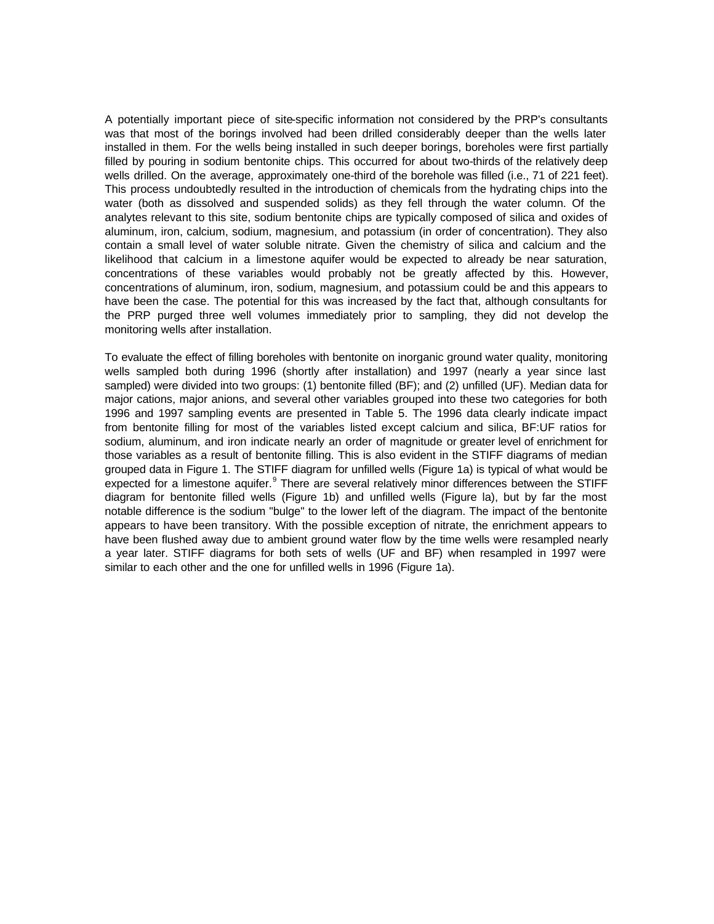A potentially important piece of site-specific information not considered by the PRP's consultants was that most of the borings involved had been drilled considerably deeper than the wells later installed in them. For the wells being installed in such deeper borings, boreholes were first partially filled by pouring in sodium bentonite chips. This occurred for about two-thirds of the relatively deep wells drilled. On the average, approximately one-third of the borehole was filled (i.e., 71 of 221 feet). This process undoubtedly resulted in the introduction of chemicals from the hydrating chips into the water (both as dissolved and suspended solids) as they fell through the water column. Of the analytes relevant to this site, sodium bentonite chips are typically composed of silica and oxides of aluminum, iron, calcium, sodium, magnesium, and potassium (in order of concentration). They also contain a small level of water soluble nitrate. Given the chemistry of silica and calcium and the likelihood that calcium in a limestone aquifer would be expected to already be near saturation, concentrations of these variables would probably not be greatly affected by this. However, concentrations of aluminum, iron, sodium, magnesium, and potassium could be and this appears to have been the case. The potential for this was increased by the fact that, although consultants for the PRP purged three well volumes immediately prior to sampling, they did not develop the monitoring wells after installation.

To evaluate the effect of filling boreholes with bentonite on inorganic ground water quality, monitoring wells sampled both during 1996 (shortly after installation) and 1997 (nearly a year since last sampled) were divided into two groups: (1) bentonite filled (BF); and (2) unfilled (UF). Median data for major cations, major anions, and several other variables grouped into these two categories for both 1996 and 1997 sampling events are presented in Table 5. The 1996 data clearly indicate impact from bentonite filling for most of the variables listed except calcium and silica, BF:UF ratios for sodium, aluminum, and iron indicate nearly an order of magnitude or greater level of enrichment for those variables as a result of bentonite filling. This is also evident in the STIFF diagrams of median grouped data in Figure 1. The STIFF diagram for unfilled wells (Figure 1a) is typical of what would be expected for a limestone aquifer.<sup>9</sup> There are several relatively minor differences between the STIFF diagram for bentonite filled wells (Figure 1b) and unfilled wells (Figure la), but by far the most notable difference is the sodium "bulge" to the lower left of the diagram. The impact of the bentonite appears to have been transitory. With the possible exception of nitrate, the enrichment appears to have been flushed away due to ambient ground water flow by the time wells were resampled nearly a year later. STIFF diagrams for both sets of wells (UF and BF) when resampled in 1997 were similar to each other and the one for unfilled wells in 1996 (Figure 1a).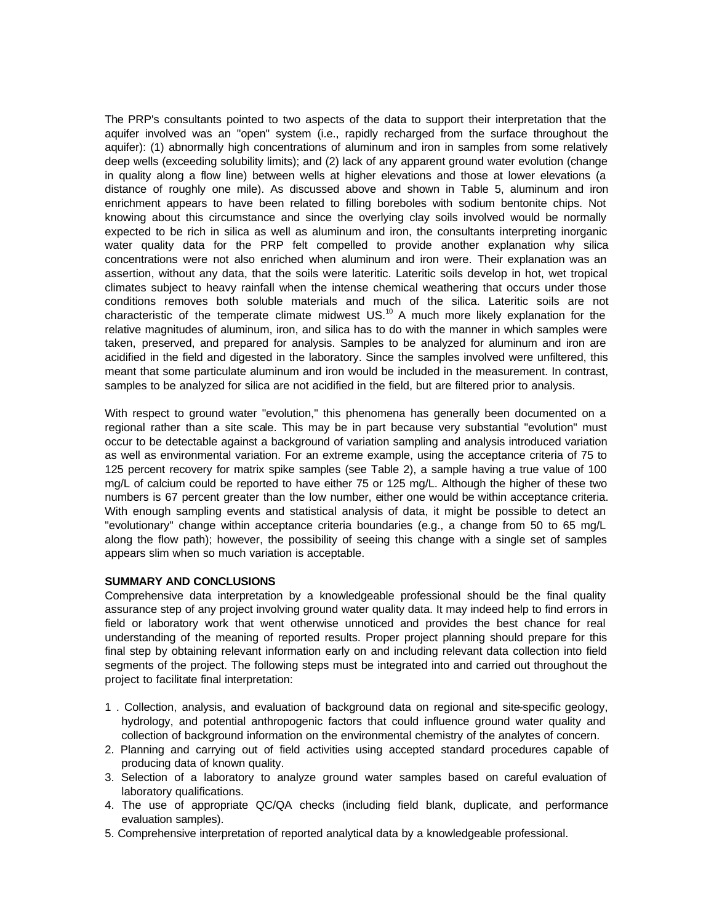The PRP's consultants pointed to two aspects of the data to support their interpretation that the aquifer involved was an "open" system (i.e., rapidly recharged from the surface throughout the aquifer): (1) abnormally high concentrations of aluminum and iron in samples from some relatively deep wells (exceeding solubility limits); and (2) lack of any apparent ground water evolution (change in quality along a flow line) between wells at higher elevations and those at lower elevations (a distance of roughly one mile). As discussed above and shown in Table 5, aluminum and iron enrichment appears to have been related to filling boreboles with sodium bentonite chips. Not knowing about this circumstance and since the overlying clay soils involved would be normally expected to be rich in silica as well as aluminum and iron, the consultants interpreting inorganic water quality data for the PRP felt compelled to provide another explanation why silica concentrations were not also enriched when aluminum and iron were. Their explanation was an assertion, without any data, that the soils were lateritic. Lateritic soils develop in hot, wet tropical climates subject to heavy rainfall when the intense chemical weathering that occurs under those conditions removes both soluble materials and much of the silica. Lateritic soils are not characteristic of the temperate climate midwest  $US.^{10}$  A much more likely explanation for the relative magnitudes of aluminum, iron, and silica has to do with the manner in which samples were taken, preserved, and prepared for analysis. Samples to be analyzed for aluminum and iron are acidified in the field and digested in the laboratory. Since the samples involved were unfiltered, this meant that some particulate aluminum and iron would be included in the measurement. In contrast, samples to be analyzed for silica are not acidified in the field, but are filtered prior to analysis.

With respect to ground water "evolution," this phenomena has generally been documented on a regional rather than a site scale. This may be in part because very substantial "evolution" must occur to be detectable against a background of variation sampling and analysis introduced variation as well as environmental variation. For an extreme example, using the acceptance criteria of 75 to 125 percent recovery for matrix spike samples (see Table 2), a sample having a true value of 100 mg/L of calcium could be reported to have either 75 or 125 mg/L. Although the higher of these two numbers is 67 percent greater than the low number, either one would be within acceptance criteria. With enough sampling events and statistical analysis of data, it might be possible to detect an "evolutionary" change within acceptance criteria boundaries (e.g., a change from 50 to 65 mg/L along the flow path); however, the possibility of seeing this change with a single set of samples appears slim when so much variation is acceptable.

# **SUMMARY AND CONCLUSIONS**

Comprehensive data interpretation by a knowledgeable professional should be the final quality assurance step of any project involving ground water quality data. It may indeed help to find errors in field or laboratory work that went otherwise unnoticed and provides the best chance for real understanding of the meaning of reported results. Proper project planning should prepare for this final step by obtaining relevant information early on and including relevant data collection into field segments of the project. The following steps must be integrated into and carried out throughout the project to facilitate final interpretation:

- 1 . Collection, analysis, and evaluation of background data on regional and site-specific geology, hydrology, and potential anthropogenic factors that could influence ground water quality and collection of background information on the environmental chemistry of the analytes of concern.
- 2. Planning and carrying out of field activities using accepted standard procedures capable of producing data of known quality.
- 3. Selection of a laboratory to analyze ground water samples based on careful evaluation of laboratory qualifications.
- 4. The use of appropriate QC/QA checks (including field blank, duplicate, and performance evaluation samples).
- 5. Comprehensive interpretation of reported analytical data by a knowledgeable professional.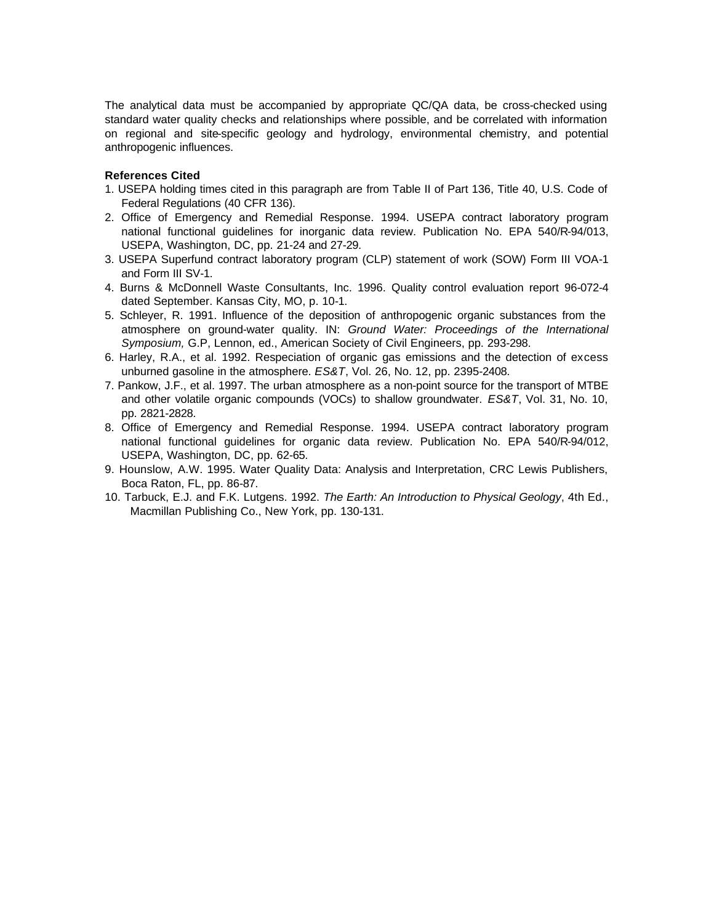The analytical data must be accompanied by appropriate QC/QA data, be cross-checked using standard water quality checks and relationships where possible, and be correlated with information on regional and site-specific geology and hydrology, environmental chemistry, and potential anthropogenic influences.

# **References Cited**

- 1. USEPA holding times cited in this paragraph are from Table II of Part 136, Title 40, U.S. Code of Federal Regulations (40 CFR 136).
- 2. Office of Emergency and Remedial Response. 1994. USEPA contract laboratory program national functional guidelines for inorganic data review. Publication No. EPA 540/R-94/013, USEPA, Washington, DC, pp. 21-24 and 27-29.
- 3. USEPA Superfund contract laboratory program (CLP) statement of work (SOW) Form III VOA-1 and Form III SV-1.
- 4. Burns & McDonnell Waste Consultants, Inc. 1996. Quality control evaluation report 96-072-4 dated September. Kansas City, MO, p. 10-1.
- 5. Schleyer, R. 1991. Influence of the deposition of anthropogenic organic substances from the atmosphere on ground-water quality. IN: *Ground Water: Proceedings of the International Symposium,* G.P, Lennon, ed., American Society of Civil Engineers, pp. 293-298.
- 6. Harley, R.A., et al. 1992. Respeciation of organic gas emissions and the detection of excess unburned gasoline in the atmosphere. *ES&T*, Vol. 26, No. 12, pp. 2395-2408.
- 7. Pankow, J.F., et al. 1997. The urban atmosphere as a non-point source for the transport of MTBE and other volatile organic compounds (VOCs) to shallow groundwater. *ES&T*, Vol. 31, No. 10, pp. 2821-2828.
- 8. Office of Emergency and Remedial Response. 1994. USEPA contract laboratory program national functional guidelines for organic data review. Publication No. EPA 540/R-94/012, USEPA, Washington, DC, pp. 62-65.
- 9. Hounslow, A.W. 1995. Water Quality Data: Analysis and Interpretation, CRC Lewis Publishers, Boca Raton, FL, pp. 86-87.
- 10. Tarbuck, E.J. and F.K. Lutgens. 1992. *The Earth: An Introduction to Physical Geology*, 4th Ed., Macmillan Publishing Co., New York, pp. 130-131.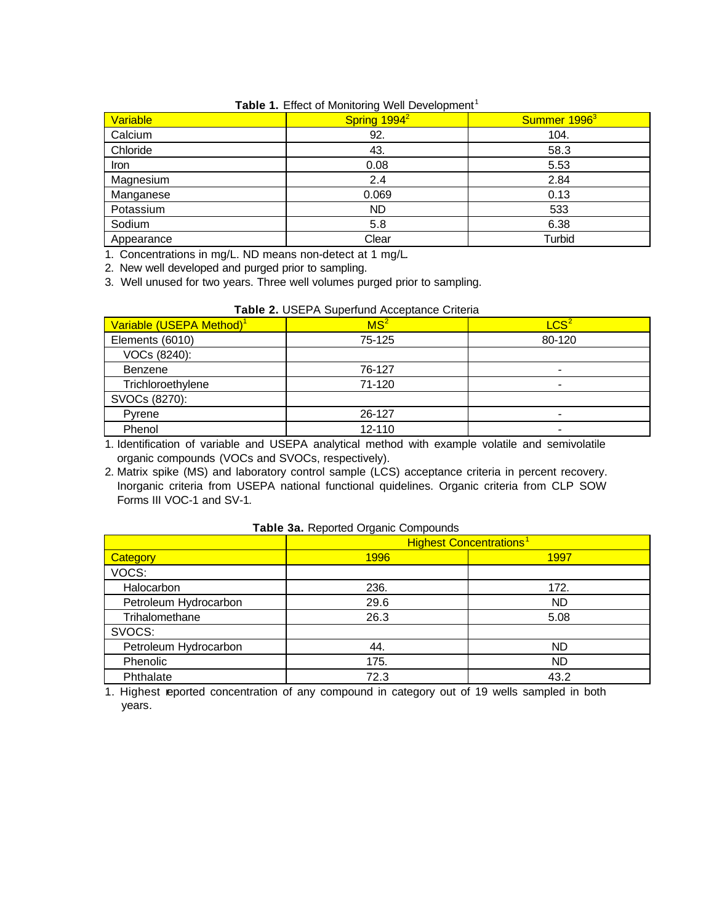# **Table 1.** Effect of Monitoring Well Development<sup>1</sup>

|                 | $\tilde{\phantom{a}}$    |                          |
|-----------------|--------------------------|--------------------------|
| <b>Variable</b> | Spring 1994 <sup>2</sup> | Summer 1996 <sup>3</sup> |
| Calcium         | 92.                      | 104.                     |
| Chloride        | 43.                      | 58.3                     |
| Iron            | 0.08                     | 5.53                     |
| Magnesium       | 2.4                      | 2.84                     |
| Manganese       | 0.069                    | 0.13                     |
| Potassium       | <b>ND</b>                | 533                      |
| Sodium          | 5.8                      | 6.38                     |
| Appearance      | Clear                    | Turbid                   |

1. Concentrations in mg/L. ND means non-detect at 1 mg/L*.*

2. New well developed and purged prior to sampling.

3. Well unused for two years. Three well volumes purged prior to sampling.

| Variable (USEPA Method) <sup>1</sup> | MS <sup>2</sup> | LCS <sup>2</sup> |
|--------------------------------------|-----------------|------------------|
| Elements (6010)                      | 75-125          | 80-120           |
| VOCs (8240):                         |                 |                  |
| Benzene                              | 76-127          |                  |
| Trichloroethylene                    | 71-120          |                  |
| SVOCs (8270):                        |                 |                  |
| Pyrene                               | 26-127          |                  |
| Phenol                               | 12-110          | -                |

1. Identification of variable and USEPA analytical method with example volatile and semivolatile organic compounds (VOCs and SVOCs, respectively).

2. Matrix spike (MS) and laboratory control sample (LCS) acceptance criteria in percent recovery. Inorganic criteria from USEPA national functional quidelines. Organic criteria from CLP SOW Forms III VOC-1 and SV-1*.*

|                       | <b>Highest Concentrations<sup>1</sup></b> |           |  |
|-----------------------|-------------------------------------------|-----------|--|
| Category              | 1996                                      | 1997      |  |
| VOCS:                 |                                           |           |  |
| Halocarbon            | 236.                                      | 172.      |  |
| Petroleum Hydrocarbon | 29.6                                      | <b>ND</b> |  |
| Trihalomethane        | 26.3                                      | 5.08      |  |
| SVOCS:                |                                           |           |  |
| Petroleum Hydrocarbon | 44.                                       | <b>ND</b> |  |
| Phenolic              | 175.                                      | <b>ND</b> |  |
| Phthalate             | 72.3                                      | 43.2      |  |

# **Table 3a.** Reported Organic Compounds

1. Highest reported concentration of any compound in category out of 19 wells sampled in both years*.*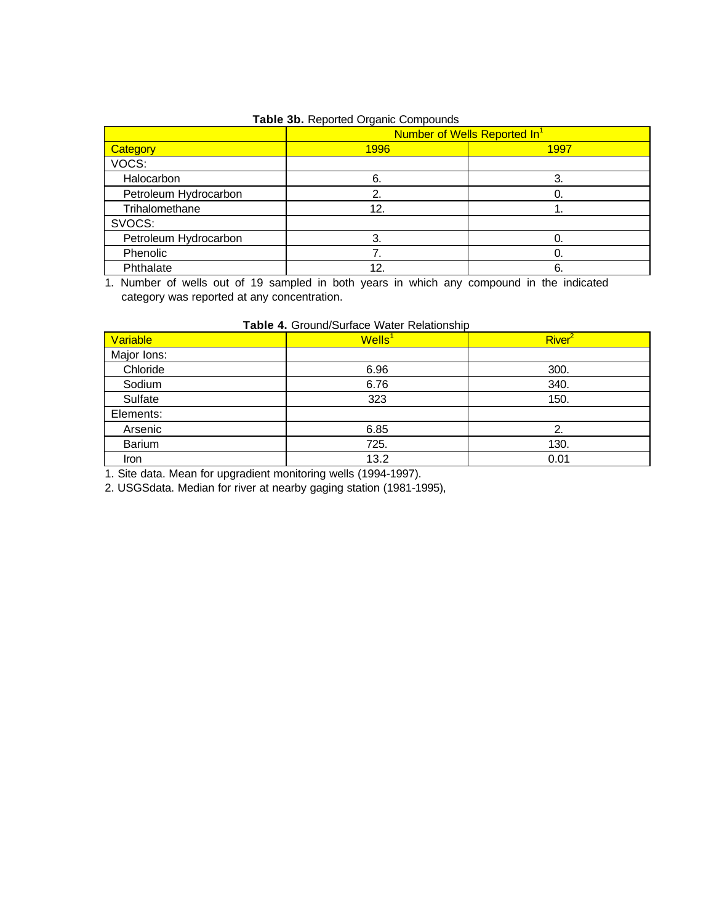| Table 3b. Reported Organic Compounds |  |  |  |  |  |
|--------------------------------------|--|--|--|--|--|
|--------------------------------------|--|--|--|--|--|

|                       | Number of Wells Reported In <sup>1</sup> |      |  |
|-----------------------|------------------------------------------|------|--|
| <b>Category</b>       | <b>1996</b>                              | 1997 |  |
| VOCS:                 |                                          |      |  |
| Halocarbon            | 6.                                       | 3.   |  |
| Petroleum Hydrocarbon |                                          |      |  |
| Trihalomethane        | 12.                                      |      |  |
| SVOCS:                |                                          |      |  |
| Petroleum Hydrocarbon | 3.                                       | Ω.   |  |
| Phenolic              |                                          | 0.   |  |
| Phthalate             | 12                                       | 6.   |  |

1. Number of wells out of 19 sampled in both years in which any compound in the indicated category was reported at any concentration.

| Variable    | $W$ ells <sup>1</sup> | River <sup>2</sup> |
|-------------|-----------------------|--------------------|
| Major Ions: |                       |                    |
| Chloride    | 6.96                  | 300.               |
| Sodium      | 6.76                  | 340.               |
| Sulfate     | 323                   | 150.               |
| Elements:   |                       |                    |
| Arsenic     | 6.85                  | 2.                 |
| Barium      | 725.                  | 130.               |
| Iron        | 13.2                  | 0.01               |

1. Site data. Mean for upgradient monitoring wells (1994-1997).

2. USGSdata. Median for river at nearby gaging station (1981-1995),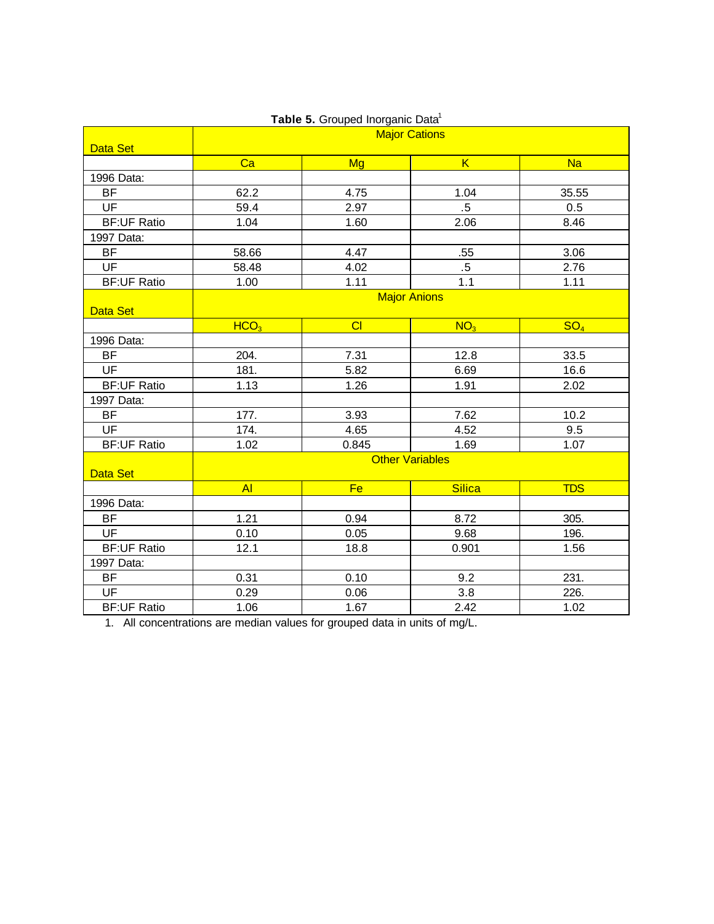|                    | rapio of Stoapod morganic Bala<br><b>Major Cations</b> |           |                         |                 |
|--------------------|--------------------------------------------------------|-----------|-------------------------|-----------------|
| Data Set           |                                                        |           |                         |                 |
|                    | Ca                                                     | <b>Mg</b> | $\overline{\mathsf{K}}$ | <b>Na</b>       |
| 1996 Data:         |                                                        |           |                         |                 |
| <b>BF</b>          | 62.2                                                   | 4.75      | 1.04                    | 35.55           |
| UF                 | 59.4                                                   | 2.97      | $.5\,$                  | 0.5             |
| <b>BF:UF Ratio</b> | 1.04                                                   | 1.60      | 2.06                    | 8.46            |
| 1997 Data:         |                                                        |           |                         |                 |
| <b>BF</b>          | 58.66                                                  | 4.47      | .55                     | 3.06            |
| UF                 | 58.48                                                  | 4.02      | $.5\,$                  | 2.76            |
| <b>BF:UF Ratio</b> | 1.00                                                   | 1.11      | 1.1                     | 1.11            |
|                    | <b>Major Anions</b>                                    |           |                         |                 |
| Data Set           |                                                        |           |                         |                 |
|                    | HCO <sub>3</sub>                                       | CI        | NO <sub>3</sub>         | SO <sub>4</sub> |
| 1996 Data:         |                                                        |           |                         |                 |
| <b>BF</b>          | 204.                                                   | 7.31      | 12.8                    | 33.5            |
| <b>UF</b>          | 181.                                                   | 5.82      | 6.69                    | 16.6            |
| <b>BF:UF Ratio</b> | 1.13                                                   | 1.26      | 1.91                    | 2.02            |
| 1997 Data:         |                                                        |           |                         |                 |
| <b>BF</b>          | 177.                                                   | 3.93      | 7.62                    | 10.2            |
| UF                 | 174.                                                   | 4.65      | 4.52                    | 9.5             |
| <b>BF:UF Ratio</b> | 1.02                                                   | 0.845     | 1.69                    | 1.07            |
| Data Set           | <b>Other Variables</b>                                 |           |                         |                 |
|                    | <b>AI</b>                                              | Fe        | <b>Silica</b>           | <b>TDS</b>      |
| 1996 Data:         |                                                        |           |                         |                 |
| <b>BF</b>          | 1.21                                                   | 0.94      | 8.72                    | 305.            |
| <b>UF</b>          | 0.10                                                   | 0.05      | 9.68                    | 196.            |
| <b>BF:UF Ratio</b> | 12.1                                                   | 18.8      | 0.901                   | 1.56            |
| 1997 Data:         |                                                        |           |                         |                 |
| <b>BF</b>          | 0.31                                                   | 0.10      | 9.2                     | 231.            |
| UF                 | 0.29                                                   | 0.06      | 3.8                     | 226.            |
| <b>BF:UF Ratio</b> | 1.06                                                   | 1.67      | 2.42                    | 1.02            |

# **Table 5. Grouped Inorganic Data<sup>1</sup>**

1. All concentrations are median values for grouped data in units of mg/L.